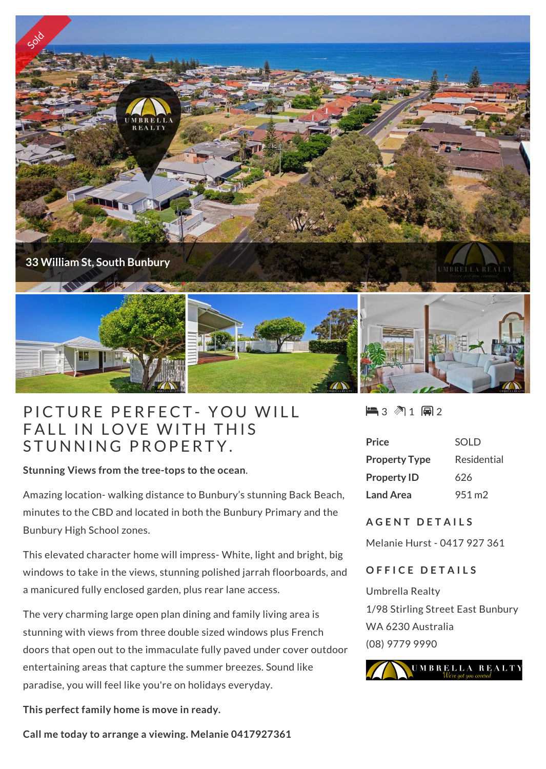

## **FICTURE PERFECT- YOU WI<br>FALL IN LOVE WITH THIS** PICTURE PERFECT- YOU \<br>FALL IN LOVE WITH THIS<br>STUNNING PROPERTY.

**Stunning Views from the tree-tops to the ocean**.

Amazing location- walking distance to Bunbury's stunning Back Beach, minutes to the CBD and located in both the Bunbury Primary and the Bunbury High School zones.

This elevated character home will impress- White, light and bright, big windows to take in the views, stunning polished jarrah floorboards, and a manicured fully enclosed garden, plus rear lane access.

The very charming large open plan dining and family living area is stunning with views from three double sized windows plus French doors that open out to the immaculate fully paved under cover outdoor entertaining areas that capture the summer breezes. Sound like paradise, you will feel like you're on holidays everyday.

**This perfect family home is move in ready.**

**Call me today to arrange a viewing. Melanie 0417927361**

 $\blacksquare$  3 2 1 2 2

| Price                | SOLD               |
|----------------------|--------------------|
| <b>Property Type</b> | Residential        |
| <b>Property ID</b>   | 626                |
| <b>Land Area</b>     | 951 m <sub>2</sub> |

## **A G E N T D E T A I L S**

Melanie Hurst - 0417 927 361

## **OFFICE DETAILS**

Umbrella Realty 1/98 Stirling Street East Bunbury WA 6230 Australia (08) 9779 9990